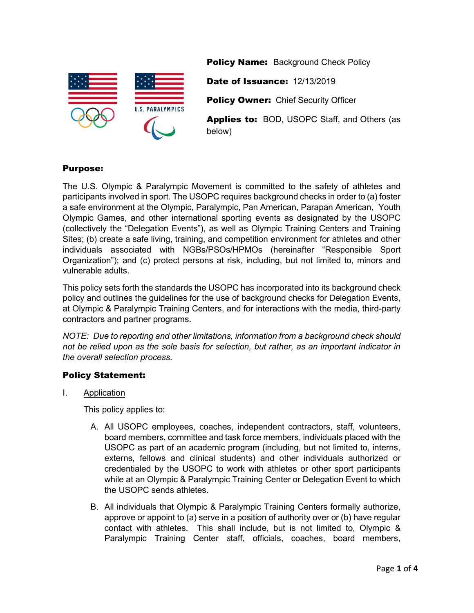

**Policy Name: Background Check Policy** 

Date of Issuance: 12/13/2019

**Policy Owner: Chief Security Officer** 

Applies to: BOD, USOPC Staff, and Others (as below)

# Purpose:

The U.S. Olympic & Paralympic Movement is committed to the safety of athletes and participants involved in sport. The USOPC requires background checks in order to (a) foster a safe environment at the Olympic, Paralympic, Pan American, Parapan American, Youth Olympic Games, and other international sporting events as designated by the USOPC (collectively the "Delegation Events"), as well as Olympic Training Centers and Training Sites; (b) create a safe living, training, and competition environment for athletes and other individuals associated with NGBs/PSOs/HPMOs (hereinafter "Responsible Sport Organization"); and (c) protect persons at risk, including, but not limited to, minors and vulnerable adults.

This policy sets forth the standards the USOPC has incorporated into its background check policy and outlines the guidelines for the use of background checks for Delegation Events, at Olympic & Paralympic Training Centers, and for interactions with the media, third-party contractors and partner programs.

*NOTE: Due to reporting and other limitations, information from a background check should not be relied upon as the sole basis for selection, but rather, as an important indicator in the overall selection process.*

## Policy Statement:

I. Application

This policy applies to:

- A. All USOPC employees, coaches, independent contractors, staff, volunteers, board members, committee and task force members, individuals placed with the USOPC as part of an academic program (including, but not limited to, interns, externs, fellows and clinical students) and other individuals authorized or credentialed by the USOPC to work with athletes or other sport participants while at an Olympic & Paralympic Training Center or Delegation Event to which the USOPC sends athletes.
- B. All individuals that Olympic & Paralympic Training Centers formally authorize, approve or appoint to (a) serve in a position of authority over or (b) have regular contact with athletes. This shall include, but is not limited to, Olympic & Paralympic Training Center *s*taff, officials, coaches, board members,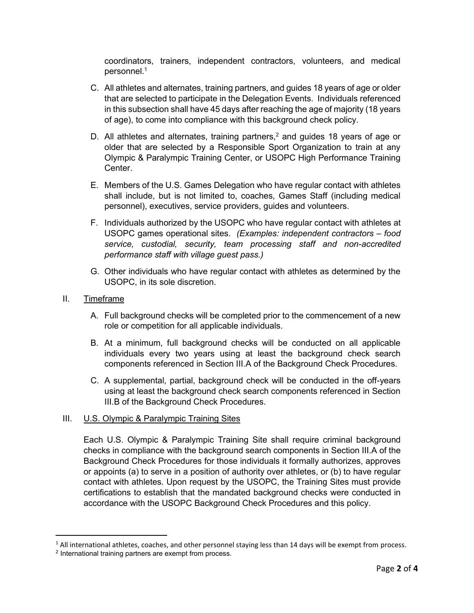<span id="page-1-1"></span>coordinators, trainers, independent contractors, volunteers, and medical personnel.[1](#page-1-0)

- C. All athletes and alternates, training partners, and guides 18 years of age or older that are selected to participate in the Delegation Events. Individuals referenced in this subsection shall have 45 days after reaching the age of majority (18 years of age), to come into compliance with this background check policy.
- <span id="page-1-3"></span>D. All athletes and alternates, training partners,<sup>[2](#page-1-2)</sup> and guides 18 years of age or older that are selected by a Responsible Sport Organization to train at any Olympic & Paralympic Training Center, or USOPC High Performance Training Center.
- E. Members of the U.S. Games Delegation who have regular contact with athletes shall include, but is not limited to, coaches, Games Staff (including medical personnel), executives, service providers, guides and volunteers.
- F. Individuals authorized by the USOPC who have regular contact with athletes at USOPC games operational sites. *(Examples: independent contractors – food service, custodial, security, team processing staff and non-accredited performance staff with village guest pass.)*
- G. Other individuals who have regular contact with athletes as determined by the USOPC, in its sole discretion.
- II. Timeframe
	- A. Full background checks will be completed prior to the commencement of a new role or competition for all applicable individuals.
	- B. At a minimum, full background checks will be conducted on all applicable individuals every two years using at least the background check search components referenced in Section III.A of the Background Check Procedures.
	- C. A supplemental, partial, background check will be conducted in the off-years using at least the background check search components referenced in Section III.B of the Background Check Procedures.

## III. U.S. Olympic & Paralympic Training Sites

Each U.S. Olympic & Paralympic Training Site shall require criminal background checks in compliance with the background search components in Section III.A of the Background Check Procedures for those individuals it formally authorizes, approves or appoints (a) to serve in a position of authority over athletes, or (b) to have regular contact with athletes. Upon request by the USOPC, the Training Sites must provide certifications to establish that the mandated background checks were conducted in accordance with the USOPC Background Check Procedures and this policy.

<span id="page-1-0"></span> $1$  All international athletes, coaches, and other personnel staying less than 14 days will be exempt from process.

<span id="page-1-2"></span>[<sup>2</sup>](#page-1-3) International training partners are exempt from process.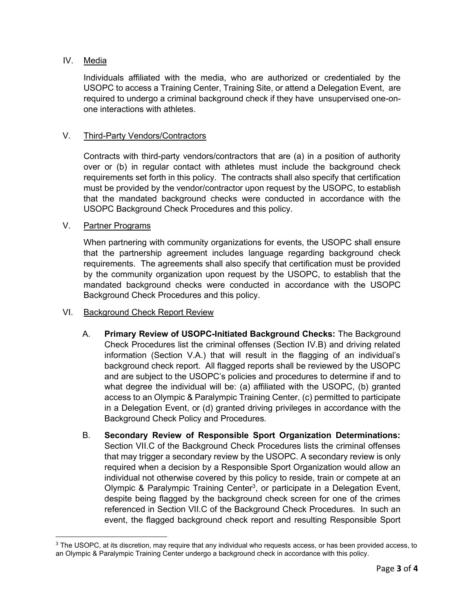## IV. Media

Individuals affiliated with the media, who are authorized or credentialed by the USOPC to access a Training Center, Training Site, or attend a Delegation Event, are required to undergo a criminal background check if they have unsupervised one-onone interactions with athletes.

#### V. Third-Party Vendors/Contractors

Contracts with third-party vendors/contractors that are (a) in a position of authority over or (b) in regular contact with athletes must include the background check requirements set forth in this policy. The contracts shall also specify that certification must be provided by the vendor/contractor upon request by the USOPC, to establish that the mandated background checks were conducted in accordance with the USOPC Background Check Procedures and this policy.

#### V. Partner Programs

When partnering with community organizations for events, the USOPC shall ensure that the partnership agreement includes language regarding background check requirements. The agreements shall also specify that certification must be provided by the community organization upon request by the USOPC, to establish that the mandated background checks were conducted in accordance with the USOPC Background Check Procedures and this policy.

#### VI. Background Check Report Review

- A. **Primary Review of USOPC-Initiated Background Checks:** The Background Check Procedures list the criminal offenses (Section IV.B) and driving related information (Section V.A.) that will result in the flagging of an individual's background check report. All flagged reports shall be reviewed by the USOPC and are subject to the USOPC's policies and procedures to determine if and to what degree the individual will be: (a) affiliated with the USOPC, (b) granted access to an Olympic & Paralympic Training Center, (c) permitted to participate in a Delegation Event, or (d) granted driving privileges in accordance with the Background Check Policy and Procedures.
- <span id="page-2-1"></span>B. **Secondary Review of Responsible Sport Organization Determinations:** Section VII.C of the Background Check Procedures lists the criminal offenses that may trigger a secondary review by the USOPC. A secondary review is only required when a decision by a Responsible Sport Organization would allow an individual not otherwise covered by this policy to reside, train or compete at an Olympic & Paralympic Training Center<sup>[3](#page-2-0)</sup>, or participate in a Delegation Event, despite being flagged by the background check screen for one of the crimes referenced in Section VII.C of the Background Check Procedures. In such an event, the flagged background check report and resulting Responsible Sport

<span id="page-2-0"></span>[<sup>3</sup>](#page-2-1) The USOPC, at its discretion, may require that any individual who requests access, or has been provided access, to an Olympic & Paralympic Training Center undergo a background check in accordance with this policy.